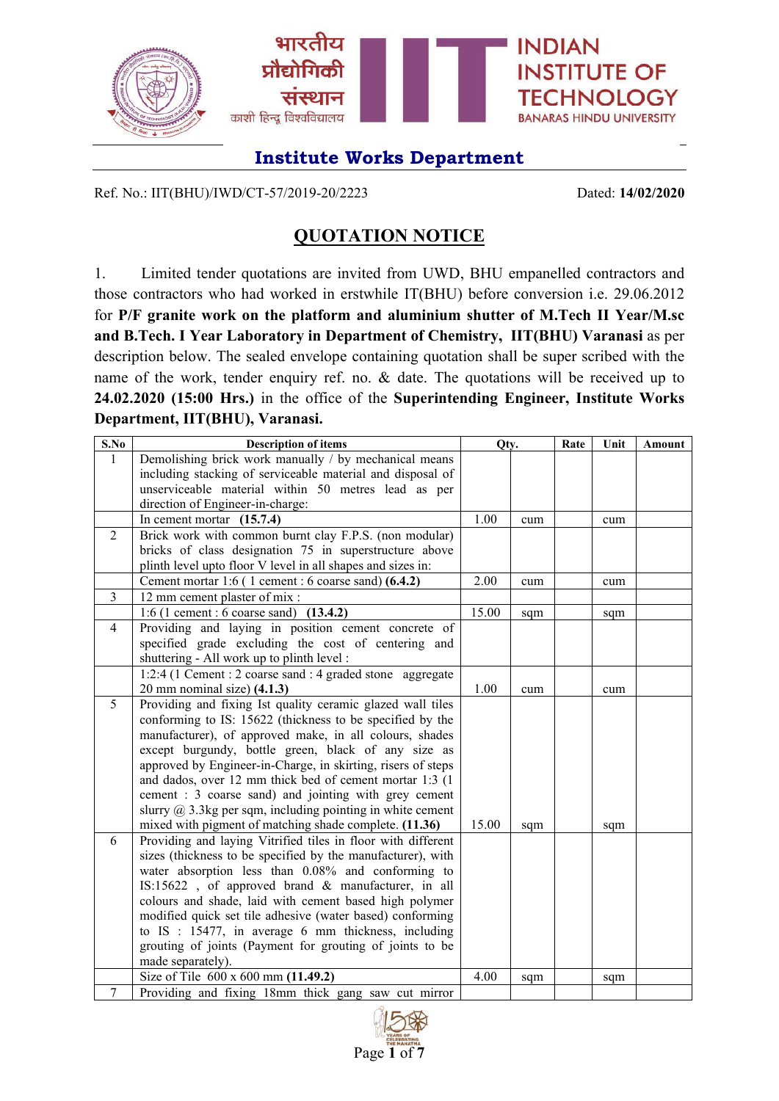

Ref. No.: IIT(BHU)/IWD/CT-57/2019-20/2223 Dated: **14/02/2020**

## **QUOTATION NOTICE**

1. Limited tender quotations are invited from UWD, BHU empanelled contractors and those contractors who had worked in erstwhile IT(BHU) before conversion i.e. 29.06.2012 for **P/F granite work on the platform and aluminium shutter of M.Tech II Year/M.sc and B.Tech. I Year Laboratory in Department of Chemistry, IIT(BHU) Varanasi** as per description below. The sealed envelope containing quotation shall be super scribed with the name of the work, tender enquiry ref. no. & date. The quotations will be received up to **24.02.2020 (15:00 Hrs.)** in the office of the **Superintending Engineer, Institute Works Department, IIT(BHU), Varanasi.**

| S.No           | <b>Description of items</b>                                    | Qty.  |     | Rate | Unit | Amount |
|----------------|----------------------------------------------------------------|-------|-----|------|------|--------|
| $\mathbf{1}$   | Demolishing brick work manually / by mechanical means          |       |     |      |      |        |
|                | including stacking of serviceable material and disposal of     |       |     |      |      |        |
|                | unserviceable material within 50 metres lead as per            |       |     |      |      |        |
|                | direction of Engineer-in-charge:                               |       |     |      |      |        |
|                | In cement mortar $(15.7.4)$                                    | 1.00  | cum |      | cum  |        |
| 2              | Brick work with common burnt clay F.P.S. (non modular)         |       |     |      |      |        |
|                | bricks of class designation 75 in superstructure above         |       |     |      |      |        |
|                | plinth level upto floor V level in all shapes and sizes in:    |       |     |      |      |        |
|                | Cement mortar 1:6 (1 cement : 6 coarse sand) (6.4.2)           | 2.00  | cum |      | cum  |        |
| $\mathfrak{Z}$ | 12 mm cement plaster of mix :                                  |       |     |      |      |        |
|                | 1:6 (1 cement : 6 coarse sand) $(13.4.2)$                      | 15.00 | sqm |      | sqm  |        |
| $\overline{4}$ | Providing and laying in position cement concrete of            |       |     |      |      |        |
|                | specified grade excluding the cost of centering and            |       |     |      |      |        |
|                | shuttering - All work up to plinth level :                     |       |     |      |      |        |
|                | 1:2:4 (1 Cement : 2 coarse sand : 4 graded stone aggregate     |       |     |      |      |        |
|                | 20 mm nominal size) $(4.1.3)$                                  | 1.00  | cum |      | cum  |        |
| 5              | Providing and fixing Ist quality ceramic glazed wall tiles     |       |     |      |      |        |
|                | conforming to IS: 15622 (thickness to be specified by the      |       |     |      |      |        |
|                | manufacturer), of approved make, in all colours, shades        |       |     |      |      |        |
|                | except burgundy, bottle green, black of any size as            |       |     |      |      |        |
|                | approved by Engineer-in-Charge, in skirting, risers of steps   |       |     |      |      |        |
|                | and dados, over 12 mm thick bed of cement mortar 1:3 (1)       |       |     |      |      |        |
|                | cement : 3 coarse sand) and jointing with grey cement          |       |     |      |      |        |
|                | slurry $(a)$ 3.3kg per sqm, including pointing in white cement |       |     |      |      |        |
|                | mixed with pigment of matching shade complete. (11.36)         | 15.00 | sqm |      | sqm  |        |
| 6              | Providing and laying Vitrified tiles in floor with different   |       |     |      |      |        |
|                | sizes (thickness to be specified by the manufacturer), with    |       |     |      |      |        |
|                | water absorption less than 0.08% and conforming to             |       |     |      |      |        |
|                | IS:15622, of approved brand & manufacturer, in all             |       |     |      |      |        |
|                | colours and shade, laid with cement based high polymer         |       |     |      |      |        |
|                | modified quick set tile adhesive (water based) conforming      |       |     |      |      |        |
|                | to IS: 15477, in average 6 mm thickness, including             |       |     |      |      |        |
|                | grouting of joints (Payment for grouting of joints to be       |       |     |      |      |        |
|                | made separately).                                              |       |     |      |      |        |
|                | Size of Tile 600 x 600 mm (11.49.2)                            | 4.00  | sqm |      | sqm  |        |
| $\tau$         | Providing and fixing 18mm thick gang saw cut mirror            |       |     |      |      |        |

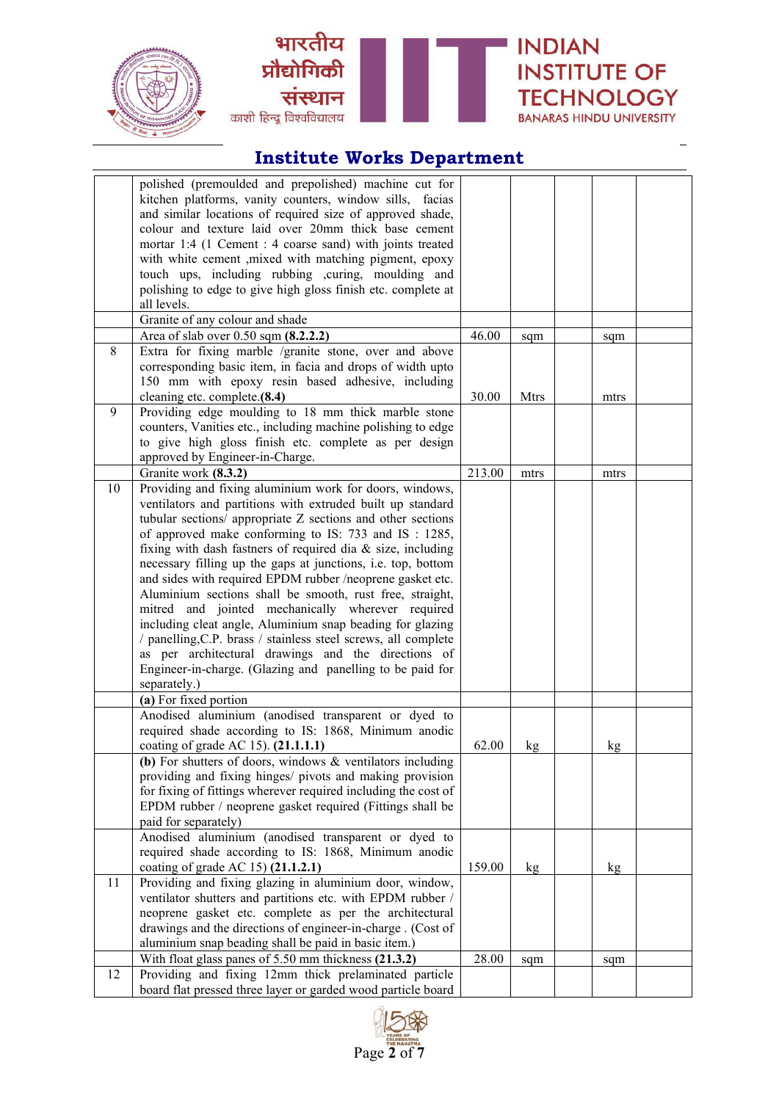





|    | polished (premoulded and prepolished) machine cut for          |        |             |      |  |
|----|----------------------------------------------------------------|--------|-------------|------|--|
|    | kitchen platforms, vanity counters, window sills, facias       |        |             |      |  |
|    | and similar locations of required size of approved shade,      |        |             |      |  |
|    | colour and texture laid over 20mm thick base cement            |        |             |      |  |
|    | mortar 1:4 (1 Cement : 4 coarse sand) with joints treated      |        |             |      |  |
|    | with white cement , mixed with matching pigment, epoxy         |        |             |      |  |
|    | touch ups, including rubbing ,curing, moulding and             |        |             |      |  |
|    | polishing to edge to give high gloss finish etc. complete at   |        |             |      |  |
|    | all levels.                                                    |        |             |      |  |
|    | Granite of any colour and shade                                |        |             |      |  |
|    | Area of slab over 0.50 sqm (8.2.2.2)                           | 46.00  | sqm         | sqm  |  |
| 8  | Extra for fixing marble /granite stone, over and above         |        |             |      |  |
|    | corresponding basic item, in facia and drops of width upto     |        |             |      |  |
|    | 150 mm with epoxy resin based adhesive, including              |        |             |      |  |
|    | cleaning etc. complete.(8.4)                                   | 30.00  | <b>Mtrs</b> | mtrs |  |
| 9  | Providing edge moulding to 18 mm thick marble stone            |        |             |      |  |
|    | counters, Vanities etc., including machine polishing to edge   |        |             |      |  |
|    | to give high gloss finish etc. complete as per design          |        |             |      |  |
|    | approved by Engineer-in-Charge.                                |        |             |      |  |
|    | Granite work (8.3.2)                                           | 213.00 | mtrs        | mtrs |  |
| 10 | Providing and fixing aluminium work for doors, windows,        |        |             |      |  |
|    | ventilators and partitions with extruded built up standard     |        |             |      |  |
|    | tubular sections/ appropriate Z sections and other sections    |        |             |      |  |
|    | of approved make conforming to IS: 733 and IS: 1285,           |        |             |      |  |
|    | fixing with dash fastners of required dia & size, including    |        |             |      |  |
|    | necessary filling up the gaps at junctions, i.e. top, bottom   |        |             |      |  |
|    | and sides with required EPDM rubber /neoprene gasket etc.      |        |             |      |  |
|    | Aluminium sections shall be smooth, rust free, straight,       |        |             |      |  |
|    | mitred and jointed mechanically wherever required              |        |             |      |  |
|    | including cleat angle, Aluminium snap beading for glazing      |        |             |      |  |
|    | / panelling, C.P. brass / stainless steel screws, all complete |        |             |      |  |
|    | as per architectural drawings and the directions of            |        |             |      |  |
|    | Engineer-in-charge. (Glazing and panelling to be paid for      |        |             |      |  |
|    | separately.)                                                   |        |             |      |  |
|    | (a) For fixed portion                                          |        |             |      |  |
|    | Anodised aluminium (anodised transparent or dyed to            |        |             |      |  |
|    | required shade according to IS: 1868, Minimum anodic           |        |             |      |  |
|    | coating of grade AC 15). (21.1.1.1)                            | 62.00  | kg          | kg   |  |
|    | (b) For shutters of doors, windows $\&$ ventilators including  |        |             |      |  |
|    | providing and fixing hinges/ pivots and making provision       |        |             |      |  |
|    | for fixing of fittings wherever required including the cost of |        |             |      |  |
|    | EPDM rubber / neoprene gasket required (Fittings shall be      |        |             |      |  |
|    | paid for separately)                                           |        |             |      |  |
|    | Anodised aluminium (anodised transparent or dyed to            |        |             |      |  |
|    | required shade according to IS: 1868, Minimum anodic           |        |             |      |  |
|    | coating of grade AC 15) (21.1.2.1)                             | 159.00 | kg          | kg   |  |
| 11 | Providing and fixing glazing in aluminium door, window,        |        |             |      |  |
|    | ventilator shutters and partitions etc. with EPDM rubber /     |        |             |      |  |
|    | neoprene gasket etc. complete as per the architectural         |        |             |      |  |
|    | drawings and the directions of engineer-in-charge. (Cost of    |        |             |      |  |
|    | aluminium snap beading shall be paid in basic item.)           |        |             |      |  |
|    | With float glass panes of 5.50 mm thickness (21.3.2)           | 28.00  | sqm         | sqm  |  |
| 12 | Providing and fixing 12mm thick prelaminated particle          |        |             |      |  |
|    | board flat pressed three layer or garded wood particle board   |        |             |      |  |

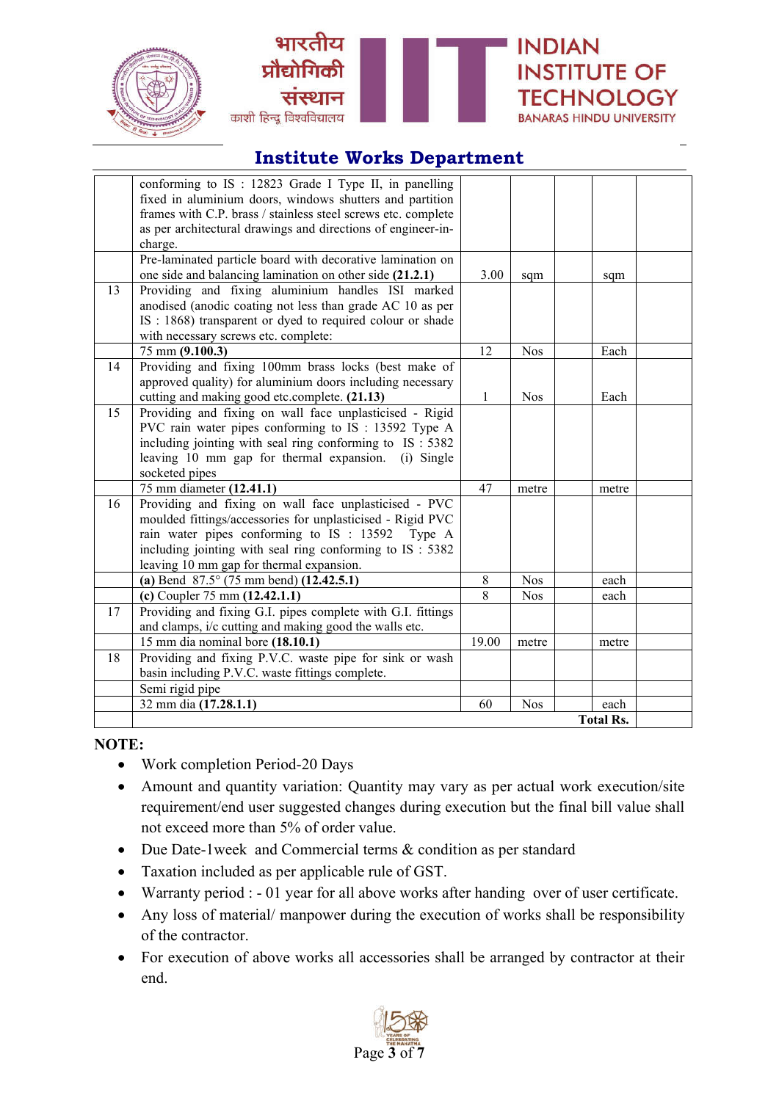





|    | conforming to IS : 12823 Grade I Type II, in panelling<br>fixed in aluminium doors, windows shutters and partition<br>frames with C.P. brass / stainless steel screws etc. complete<br>as per architectural drawings and directions of engineer-in- |                |            |                  |  |
|----|-----------------------------------------------------------------------------------------------------------------------------------------------------------------------------------------------------------------------------------------------------|----------------|------------|------------------|--|
|    | charge.                                                                                                                                                                                                                                             |                |            |                  |  |
|    | Pre-laminated particle board with decorative lamination on                                                                                                                                                                                          |                |            |                  |  |
|    | one side and balancing lamination on other side (21.2.1)                                                                                                                                                                                            | 3.00           | sqm        | sqm              |  |
| 13 | Providing and fixing aluminium handles ISI marked                                                                                                                                                                                                   |                |            |                  |  |
|    | anodised (anodic coating not less than grade AC 10 as per                                                                                                                                                                                           |                |            |                  |  |
|    | IS : 1868) transparent or dyed to required colour or shade                                                                                                                                                                                          |                |            |                  |  |
|    | with necessary screws etc. complete:                                                                                                                                                                                                                |                |            |                  |  |
|    | 75 mm (9.100.3)                                                                                                                                                                                                                                     | 12             | <b>Nos</b> | Each             |  |
| 14 | Providing and fixing 100mm brass locks (best make of                                                                                                                                                                                                |                |            |                  |  |
|    | approved quality) for aluminium doors including necessary                                                                                                                                                                                           |                |            |                  |  |
|    | cutting and making good etc.complete. (21.13)                                                                                                                                                                                                       | 1              | <b>Nos</b> | Each             |  |
| 15 | Providing and fixing on wall face unplasticised - Rigid                                                                                                                                                                                             |                |            |                  |  |
|    | PVC rain water pipes conforming to IS : 13592 Type A                                                                                                                                                                                                |                |            |                  |  |
|    | including jointing with seal ring conforming to IS: 5382                                                                                                                                                                                            |                |            |                  |  |
|    | leaving 10 mm gap for thermal expansion. (i) Single                                                                                                                                                                                                 |                |            |                  |  |
|    | socketed pipes                                                                                                                                                                                                                                      |                |            |                  |  |
|    | 75 mm diameter (12.41.1)                                                                                                                                                                                                                            | 47             | metre      | metre            |  |
| 16 | Providing and fixing on wall face unplasticised - PVC                                                                                                                                                                                               |                |            |                  |  |
|    | moulded fittings/accessories for unplasticised - Rigid PVC                                                                                                                                                                                          |                |            |                  |  |
|    | rain water pipes conforming to IS : 13592 Type A                                                                                                                                                                                                    |                |            |                  |  |
|    | including jointing with seal ring conforming to IS : 5382                                                                                                                                                                                           |                |            |                  |  |
|    | leaving 10 mm gap for thermal expansion.                                                                                                                                                                                                            |                |            |                  |  |
|    | (a) Bend $87.5^{\circ}$ (75 mm bend) (12.42.5.1)                                                                                                                                                                                                    | 8              | <b>Nos</b> | each             |  |
|    | (c) Coupler 75 mm $(12.42.1.1)$                                                                                                                                                                                                                     | $\overline{8}$ | <b>Nos</b> | each             |  |
| 17 | Providing and fixing G.I. pipes complete with G.I. fittings                                                                                                                                                                                         |                |            |                  |  |
|    | and clamps, i/c cutting and making good the walls etc.                                                                                                                                                                                              |                |            |                  |  |
|    | 15 mm dia nominal bore (18.10.1)                                                                                                                                                                                                                    | 19.00          | metre      | metre            |  |
| 18 | Providing and fixing P.V.C. waste pipe for sink or wash                                                                                                                                                                                             |                |            |                  |  |
|    | basin including P.V.C. waste fittings complete.                                                                                                                                                                                                     |                |            |                  |  |
|    | Semi rigid pipe                                                                                                                                                                                                                                     |                |            |                  |  |
|    | 32 mm dia (17.28.1.1)                                                                                                                                                                                                                               | 60             | <b>Nos</b> | each             |  |
|    |                                                                                                                                                                                                                                                     |                |            | <b>Total Rs.</b> |  |

#### **NOTE:**

- Work completion Period-20 Days
- Amount and quantity variation: Quantity may vary as per actual work execution/site requirement/end user suggested changes during execution but the final bill value shall not exceed more than 5% of order value.
- Due Date-1week and Commercial terms & condition as per standard
- Taxation included as per applicable rule of GST.
- Warranty period : 01 year for all above works after handing over of user certificate.
- Any loss of material/ manpower during the execution of works shall be responsibility of the contractor.
- For execution of above works all accessories shall be arranged by contractor at their end.

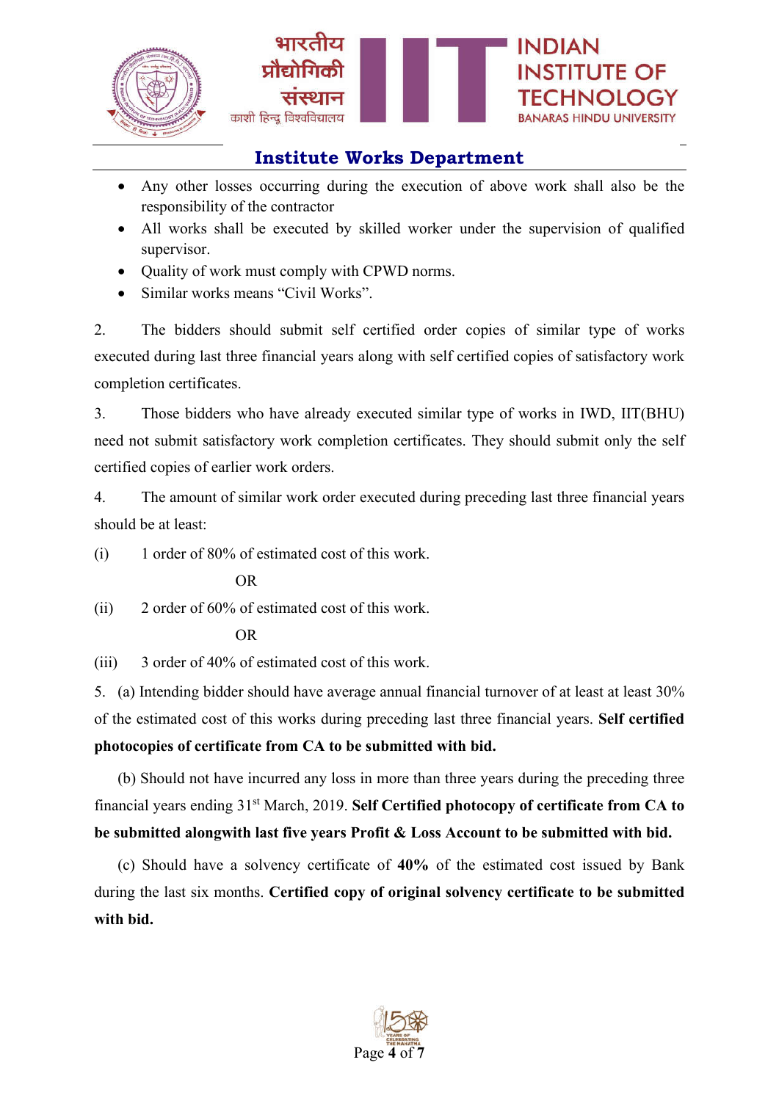

- Any other losses occurring during the execution of above work shall also be the responsibility of the contractor
- All works shall be executed by skilled worker under the supervision of qualified supervisor.
- Ouality of work must comply with CPWD norms.
- Similar works means "Civil Works".

2. The bidders should submit self certified order copies of similar type of works executed during last three financial years along with self certified copies of satisfactory work completion certificates.

3. Those bidders who have already executed similar type of works in IWD, IIT(BHU) need not submit satisfactory work completion certificates. They should submit only the self certified copies of earlier work orders.

4. The amount of similar work order executed during preceding last three financial years should be at least:

(i) 1 order of 80% of estimated cost of this work.

#### OR

(ii) 2 order of 60% of estimated cost of this work.

#### OR

(iii) 3 order of 40% of estimated cost of this work.

5. (a) Intending bidder should have average annual financial turnover of at least at least 30% of the estimated cost of this works during preceding last three financial years. **Self certified photocopies of certificate from CA to be submitted with bid.**

(b) Should not have incurred any loss in more than three years during the preceding three financial years ending 31st March, 2019. **Self Certified photocopy of certificate from CA to be submitted alongwith last five years Profit & Loss Account to be submitted with bid.**

(c) Should have a solvency certificate of **40%** of the estimated cost issued by Bank during the last six months. **Certified copy of original solvency certificate to be submitted with bid.**

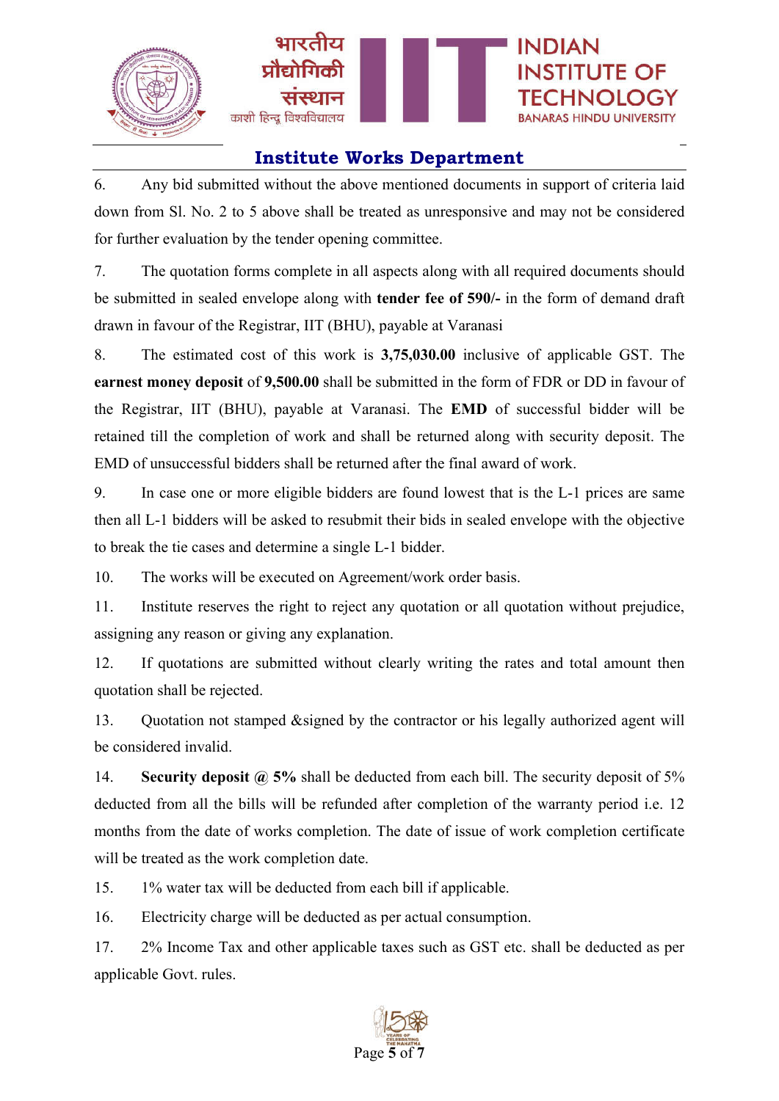

6. Any bid submitted without the above mentioned documents in support of criteria laid down from Sl. No. 2 to 5 above shall be treated as unresponsive and may not be considered for further evaluation by the tender opening committee.

7. The quotation forms complete in all aspects along with all required documents should be submitted in sealed envelope along with **tender fee of 590/-** in the form of demand draft drawn in favour of the Registrar, IIT (BHU), payable at Varanasi

8. The estimated cost of this work is **3,75,030.00** inclusive of applicable GST. The **earnest money deposit** of **9,500.00** shall be submitted in the form of FDR or DD in favour of the Registrar, IIT (BHU), payable at Varanasi. The **EMD** of successful bidder will be retained till the completion of work and shall be returned along with security deposit. The EMD of unsuccessful bidders shall be returned after the final award of work.

9. In case one or more eligible bidders are found lowest that is the L-1 prices are same then all L-1 bidders will be asked to resubmit their bids in sealed envelope with the objective to break the tie cases and determine a single L-1 bidder.

10. The works will be executed on Agreement/work order basis.

11. Institute reserves the right to reject any quotation or all quotation without prejudice, assigning any reason or giving any explanation.

12. If quotations are submitted without clearly writing the rates and total amount then quotation shall be rejected.

13. Quotation not stamped &signed by the contractor or his legally authorized agent will be considered invalid.

14. **Security deposit @ 5%** shall be deducted from each bill. The security deposit of 5% deducted from all the bills will be refunded after completion of the warranty period i.e. 12 months from the date of works completion. The date of issue of work completion certificate will be treated as the work completion date.

15. 1% water tax will be deducted from each bill if applicable.

16. Electricity charge will be deducted as per actual consumption.

17. 2% Income Tax and other applicable taxes such as GST etc. shall be deducted as per applicable Govt. rules.

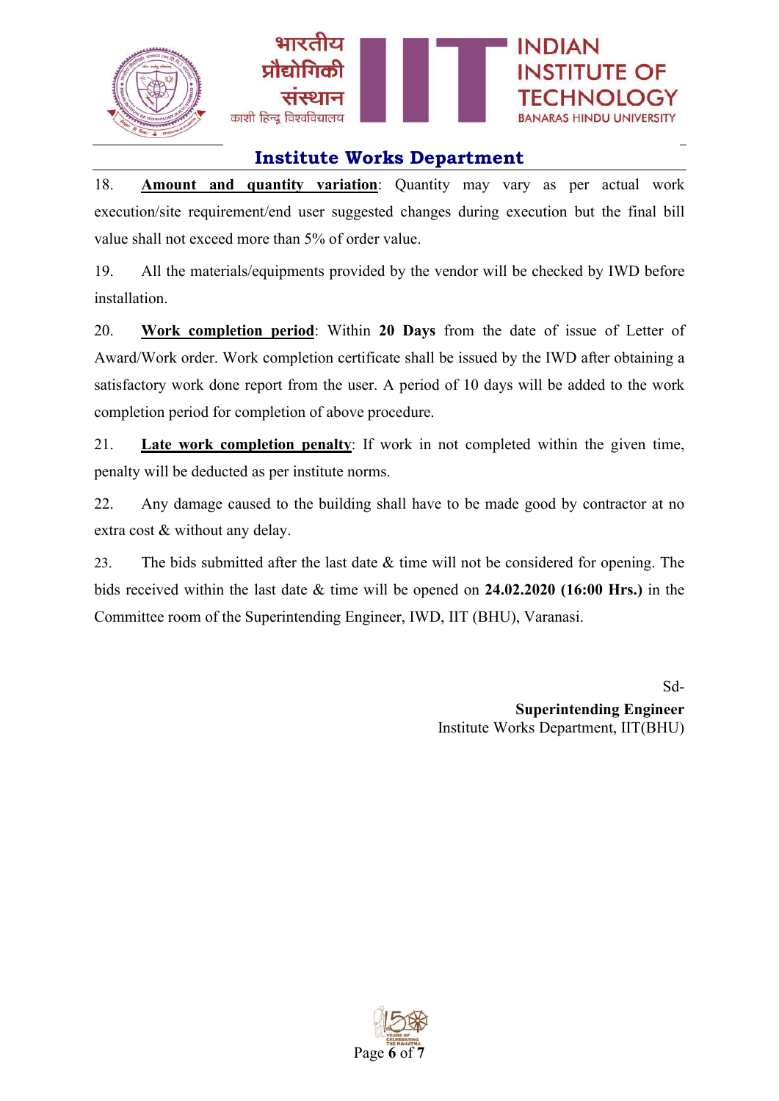

18. **Amount and quantity variation**: Quantity may vary as per actual work execution/site requirement/end user suggested changes during execution but the final bill value shall not exceed more than 5% of order value.

19. All the materials/equipments provided by the vendor will be checked by IWD before installation.

20. **Work completion period**: Within **20 Days** from the date of issue of Letter of Award/Work order. Work completion certificate shall be issued by the IWD after obtaining a satisfactory work done report from the user. A period of 10 days will be added to the work completion period for completion of above procedure.

21. **Late work completion penalty**: If work in not completed within the given time, penalty will be deducted as per institute norms.

22. Any damage caused to the building shall have to be made good by contractor at no extra cost & without any delay.

23. The bids submitted after the last date & time will not be considered for opening. The bids received within the last date & time will be opened on **24.02.2020 (16:00 Hrs.)** in the Committee room of the Superintending Engineer, IWD, IIT (BHU), Varanasi.

> Sd-**Superintending Engineer** Institute Works Department, IIT(BHU)